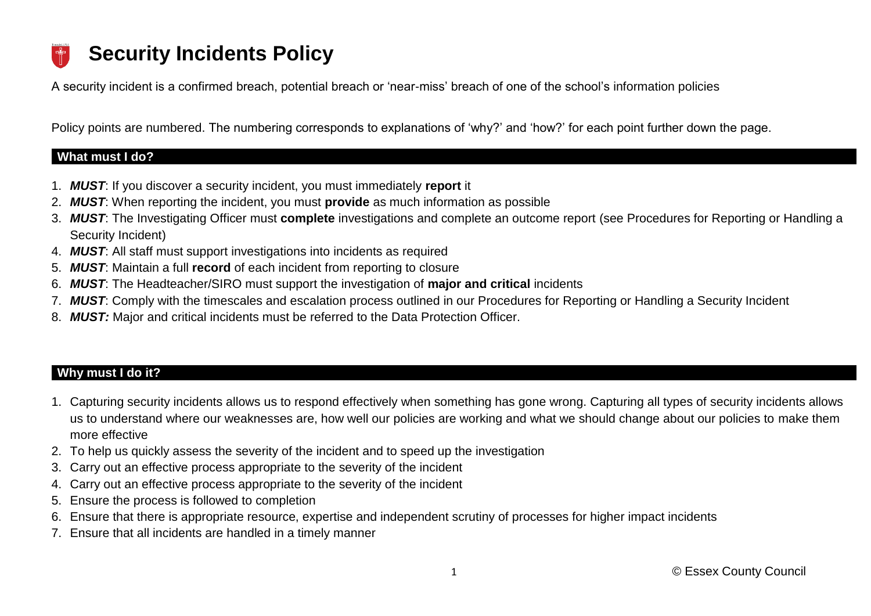# **Security Incidents Policy**

A security incident is a confirmed breach, potential breach or 'near-miss' breach of one of the school's information policies

Policy points are numbered. The numbering corresponds to explanations of 'why?' and 'how?' for each point further down the page.

## **What must I do?**

- 1. *MUST*: If you discover a security incident, you must immediately **report** it
- 2. *MUST*: When reporting the incident, you must **provide** as much information as possible
- 3. *MUST*: The Investigating Officer must **complete** investigations and complete an outcome report (see Procedures for Reporting or Handling a Security Incident)
- 4. *MUST*: All staff must support investigations into incidents as required
- 5. *MUST*: Maintain a full **record** of each incident from reporting to closure
- 6. *MUST*: The Headteacher/SIRO must support the investigation of **major and critical** incidents
- 7. *MUST*: Comply with the timescales and escalation process outlined in our Procedures for Reporting or Handling a Security Incident
- 8. *MUST:* Major and critical incidents must be referred to the Data Protection Officer.

# **Why must I do it?**

- 1. Capturing security incidents allows us to respond effectively when something has gone wrong. Capturing all types of security incidents allows us to understand where our weaknesses are, how well our policies are working and what we should change about our policies to make them more effective
- 2. To help us quickly assess the severity of the incident and to speed up the investigation
- 3. Carry out an effective process appropriate to the severity of the incident
- 4. Carry out an effective process appropriate to the severity of the incident
- 5. Ensure the process is followed to completion
- 6. Ensure that there is appropriate resource, expertise and independent scrutiny of processes for higher impact incidents
- 7. Ensure that all incidents are handled in a timely manner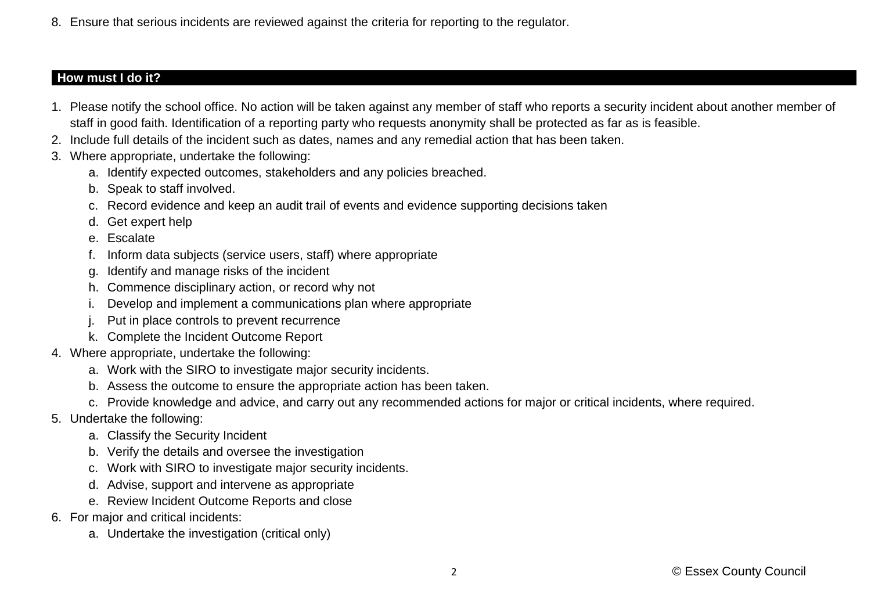8. Ensure that serious incidents are reviewed against the criteria for reporting to the regulator.

# **How must I do it?**

- 1. Please notify the school office. No action will be taken against any member of staff who reports a security incident about another member of staff in good faith. Identification of a reporting party who requests anonymity shall be protected as far as is feasible.
- 2. Include full details of the incident such as dates, names and any remedial action that has been taken.
- 3. Where appropriate, undertake the following:
	- a. Identify expected outcomes, stakeholders and any policies breached.
	- b. Speak to staff involved.
	- c. Record evidence and keep an audit trail of events and evidence supporting decisions taken
	- d. Get expert help
	- e. Escalate
	- f. Inform data subjects (service users, staff) where appropriate
	- g. Identify and manage risks of the incident
	- h. Commence disciplinary action, or record why not
	- i. Develop and implement a communications plan where appropriate
	- j. Put in place controls to prevent recurrence
	- k. Complete the Incident Outcome Report
- 4. Where appropriate, undertake the following:
	- a. Work with the SIRO to investigate major security incidents.
	- b. Assess the outcome to ensure the appropriate action has been taken.
	- c. Provide knowledge and advice, and carry out any recommended actions for major or critical incidents, where required.
- 5. Undertake the following:
	- a. Classify the Security Incident
	- b. Verify the details and oversee the investigation
	- c. Work with SIRO to investigate major security incidents.
	- d. Advise, support and intervene as appropriate
	- e. Review Incident Outcome Reports and close
- 6. For major and critical incidents:
	- a. Undertake the investigation (critical only)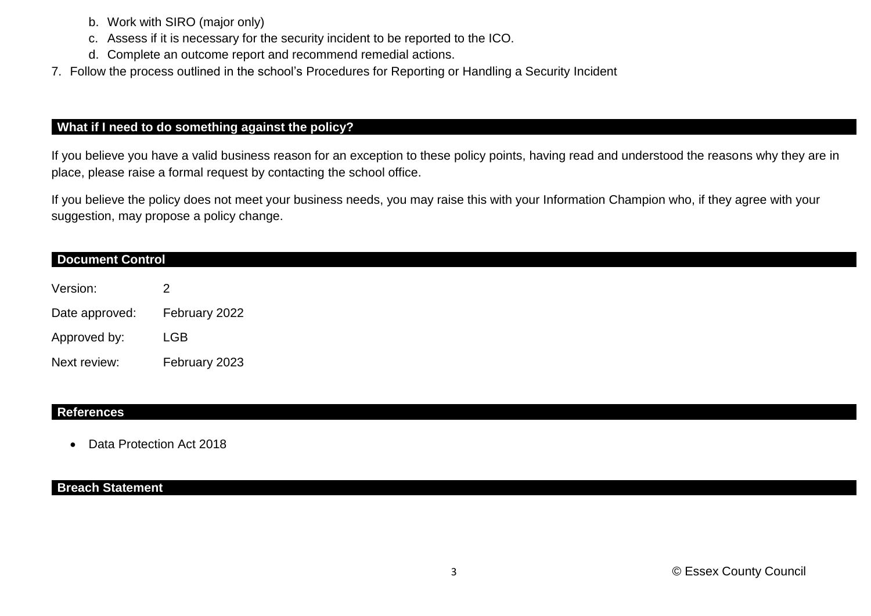- b. Work with SIRO (major only)
- c. Assess if it is necessary for the security incident to be reported to the ICO.
- d. Complete an outcome report and recommend remedial actions.
- 7. Follow the process outlined in the school's Procedures for Reporting or Handling a Security Incident

### **What if I need to do something against the policy?**

If you believe you have a valid business reason for an exception to these policy points, having read and understood the reasons why they are in place, please raise a formal request by contacting the school office.

If you believe the policy does not meet your business needs, you may raise this with your Information Champion who, if they agree with your suggestion, may propose a policy change.

| <b>Document Control</b> |               |  |  |  |
|-------------------------|---------------|--|--|--|
| Version:                |               |  |  |  |
| Date approved:          | February 2022 |  |  |  |
| Approved by:            | <b>LGB</b>    |  |  |  |
| Next review:            | February 2023 |  |  |  |

#### **References**

• Data Protection Act 2018

#### **Breach Statement**